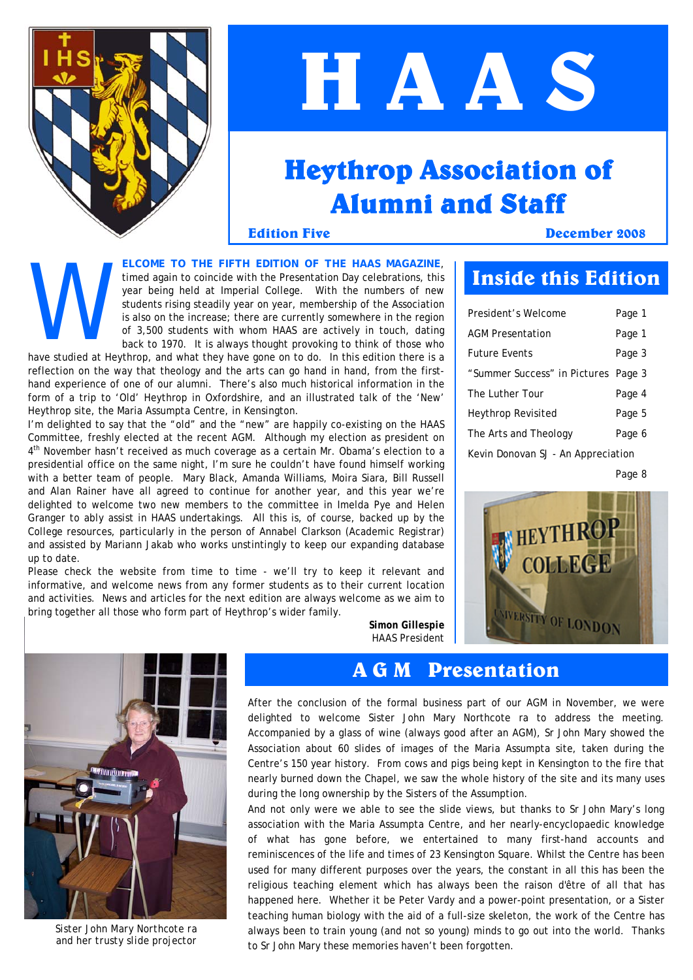

## **H A A S**

### **Heythrop Association of Alumni and Staff**

**Edition Five December 2008**

**ELCOME TO THE FIFTH EDITION OF THE HAAS MAGAZINE**, timed again to coincide with the Presentation Day celebrations, this year being held at Imperial College. With the numbers of new students rising steadily year on year, membership of the Association is also on the increase; there are currently somewhere in the region of 3,500 students with whom HAAS are actively in touch, dating ELCO<br>
timed<br>
year<br>
studied at Heythron<br>
have studied at Heythron

back to 1970. It is always thought provoking to think of those who have studied at Heythrop, and what they have gone on to do. In this edition there is a reflection on the way that theology and the arts can go hand in hand, from the firsthand experience of one of our alumni. There's also much historical information in the form of a trip to 'Old' Heythrop in Oxfordshire, and an illustrated talk of the 'New' Heythrop site, the Maria Assumpta Centre, in Kensington.

I'm delighted to say that the "old" and the "new" are happily co-existing on the HAAS Committee, freshly elected at the recent AGM. Although my election as president on 4<sup>th</sup> November hasn't received as much coverage as a certain Mr. Obama's election to a presidential office on the same night, I'm sure he couldn't have found himself working with a better team of people. Mary Black, Amanda Williams, Moira Siara, Bill Russell and Alan Rainer have all agreed to continue for another year, and this year we're delighted to welcome two new members to the committee in Imelda Pye and Helen Granger to ably assist in HAAS undertakings. All this is, of course, backed up by the College resources, particularly in the person of Annabel Clarkson (Academic Registrar) and assisted by Mariann Jakab who works unstintingly to keep our expanding database up to date.

Please check the website from time to time - we'll try to keep it relevant and informative, and welcome news from any former students as to their current location and activities. News and articles for the next edition are always welcome as we aim to bring together all those who form part of Heythrop's wider family.

### **Inside this Edition**

| President's Welcome                 | Page 1 |
|-------------------------------------|--------|
| <b>AGM Presentation</b>             | Page 1 |
| <b>Future Events</b>                | Page 3 |
| "Summer Success" in Pictures Page 3 |        |
| The Luther Tour                     | Page 4 |
| Heythrop Revisited                  | Page 5 |
| The Arts and Theology               | Page 6 |
| Kevin Donovan SJ - An Appreciation  |        |

Page 8





*Sister John Mary Northcote ra and her trusty slide projector* 

*Simon Gillespie HAAS President* 

#### **A G M Presentation**

After the conclusion of the formal business part of our AGM in November, we were delighted to welcome Sister John Mary Northcote ra to address the meeting. Accompanied by a glass of wine (always good after an AGM), Sr John Mary showed the Association about 60 slides of images of the Maria Assumpta site, taken during the Centre's 150 year history. From cows and pigs being kept in Kensington to the fire that nearly burned down the Chapel, we saw the whole history of the site and its many uses during the long ownership by the Sisters of the Assumption.

And not only were we able to see the slide views, but thanks to Sr John Mary's long association with the Maria Assumpta Centre, and her nearly-encyclopaedic knowledge of what has gone before, we entertained to many first-hand accounts and reminiscences of the life and times of 23 Kensington Square. Whilst the Centre has been used for many different purposes over the years, the constant in all this has been the religious teaching element which has always been the raison d'être of all that has happened here. Whether it be Peter Vardy and a power-point presentation, or a Sister teaching human biology with the aid of a full-size skeleton, the work of the Centre has always been to train young (and not so young) minds to go out into the world. Thanks to Sr John Mary these memories haven't been forgotten.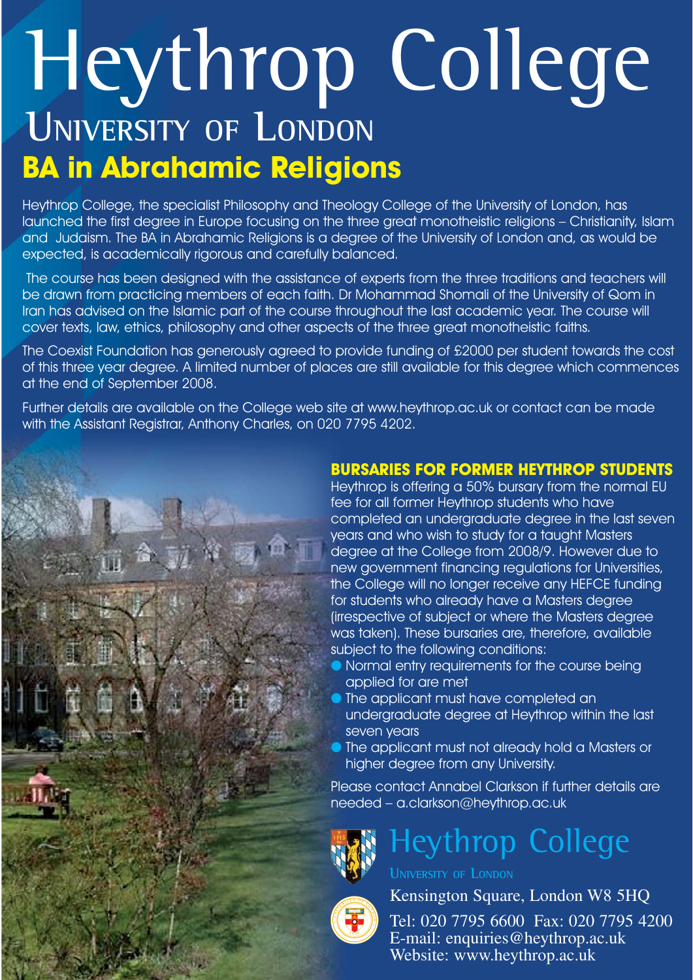# Heythrop College **UNIVERSITY OF LONDON**

**BA in Abrahamic Religions**<br>Heythrop College, the specialist Philosophy and Theology College of the University of London, has launched the first degree in Europe focusing on the three great monotheistic religions – Christianity, Islam and Judaism. The BA in Abrahamic Religions is a degree of the University of London and, as would be expected, is academically rigorous and carefully balanced.

The course has been designed with the assistance of experts from the three traditions and teachers will be drawn from practicing members of each faith. Dr Mohammad Shomali of the University of Qom in Iran has advised on the Islamic part of the course throughout the last academic year. The course will cover texts, law, ethics, philosophy and other aspects of the three great monotheistic faiths.

The Coexist Foundation has generously agreed to provide funding of £2000 per student towards the cost of this three year degree. A limited number of places are still available for this degree which commences at the end of September 2008.

Further details are available on the College web site at www.heythrop.ac.uk or contact can be made with the Assistant Registrar, Anthony Charles, on 020 7795 4202.

#### **BURSARIES FOR FORMER HEYTHROP STUDENTS**

**BURSARIES FOR FORMER HEYTHROP STUDENTS** Heythrop is offering a 50% bursary from the normal EU fee for all former Heythrop students who have completed an undergraduate degree in the last seven years and who wish to study for a taught Masters degree at the College from 2008/9. However due to new government financing regulations for Universities, the College will no longer receive any HEFCE funding for students who already have a Masters degree (irrespective of subject or where the Masters degree was taken). These bursaries are, therefore, available subject to the following conditions:

- **Normal entry requirements for the course being** applied for are met
- The applicant must have completed an undergraduate degree at Heythrop within the last seven years
- The applicant must not already hold a Masters or higher degree from any University.

Please contact Annabel Clarkson if further details are needed – a.clarkson@heythrop.ac.uk



## Heythrop College

**UNIVERSITY OF LONDON**

 **<sup>U</sup> <sup>N</sup> <sup>I</sup> <sup>V</sup> <sup>E</sup> <sup>R</sup> <sup>S</sup> <sup>I</sup> <sup>T</sup> <sup>Y</sup> <sup>O</sup> <sup>F</sup> <sup>L</sup> <sup>O</sup> <sup>N</sup> <sup>D</sup> <sup>O</sup> <sup>N</sup> <sup>1</sup> <sup>8</sup> 3 6**

Kensington Square, London W8 5HQ

Tel: 020 7795 6600 Fax: 020 7795 4200 E-mail: enquiries@heythrop.ac.uk Website: www.heythrop.ac.uk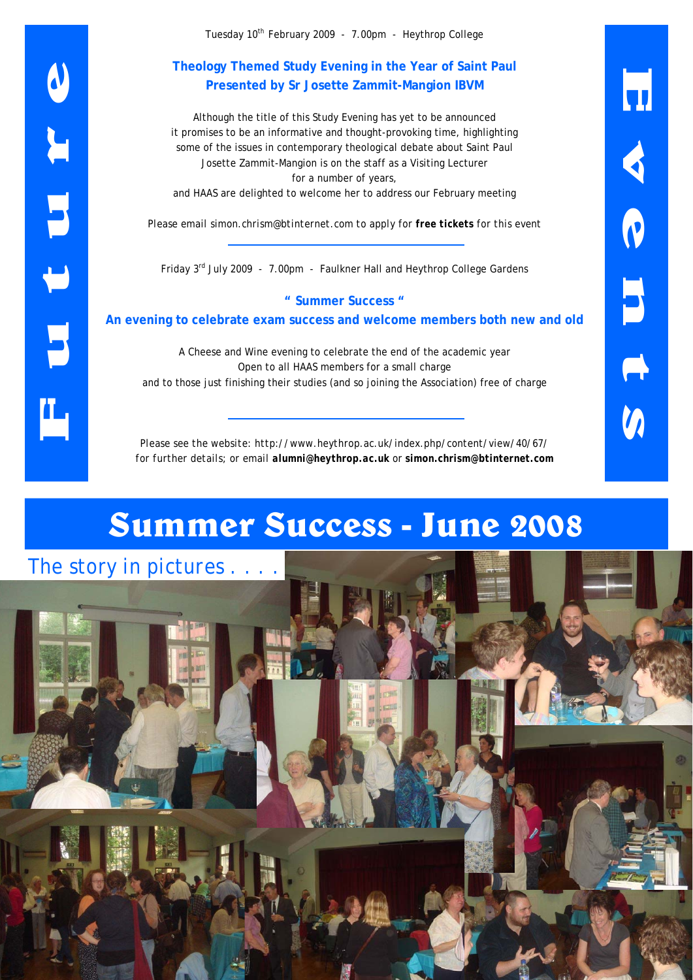Tuesday 10th February 2009 - 7.00pm - Heythrop College

#### **Theology Themed Study Evening in the Year of Saint Paul Presented by Sr Josette Zammit-Mangion IBVM**

Although the title of this Study Evening has yet to be announced it promises to be an informative and thought-provoking time, highlighting some of the issues in contemporary theological debate about Saint Paul Josette Zammit-Mangion is on the staff as a Visiting Lecturer for a number of years,

and HAAS are delighted to welcome her to address our February meeting

*Please email simon.chrism@btinternet.com to apply for free tickets for this event* 

Friday 3rd July 2009 - 7.00pm - Faulkner Hall and Heythrop College Gardens

**" Summer Success " An evening to celebrate exam success and welcome members both new and old** 

A Cheese and Wine evening to celebrate the end of the academic year Open to all HAAS members for a small charge and to those just finishing their studies (and so joining the Association) free of charge

*Please see the website: http://www.heythrop.ac.uk/index.php/content/view/40/67/ for further details; or email alumni@heythrop.ac.uk* or *simon.chrism@btinternet.com*

## **Summer Success - June 2008**

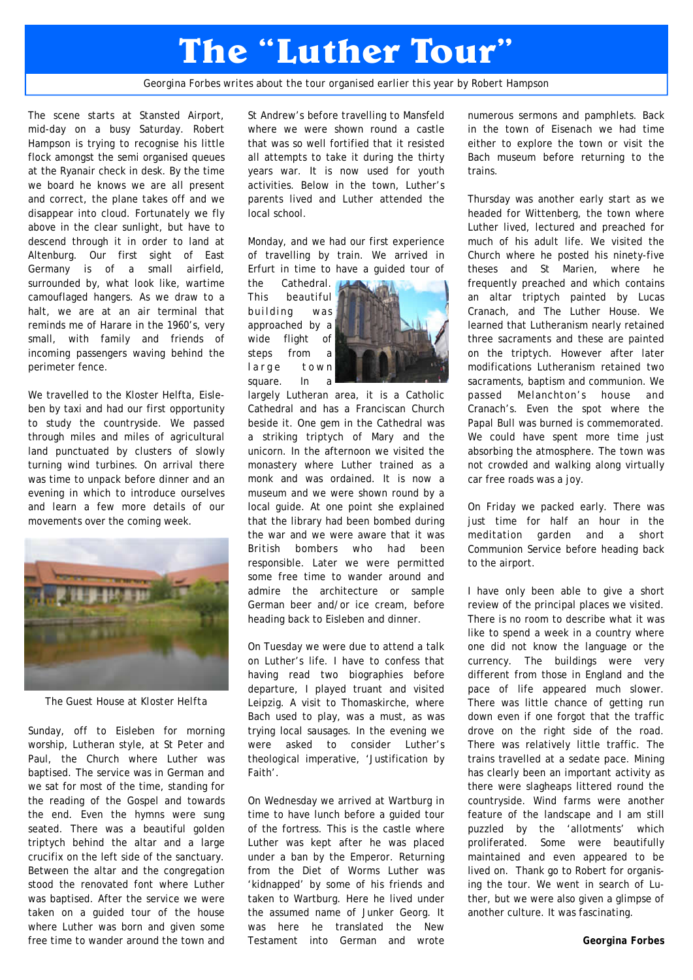## **The "Luther Tour"**

*Georgina Forbes writes about the tour organised earlier this year by Robert Hampson* 

The scene starts at Stansted Airport, mid-day on a busy Saturday. Robert Hampson is trying to recognise his little flock amongst the semi organised queues at the Ryanair check in desk. By the time we board he knows we are all present and correct, the plane takes off and we disappear into cloud. Fortunately we fly above in the clear sunlight, but have to descend through it in order to land at Altenburg. Our first sight of East Germany is of a small airfield, surrounded by, what look like, wartime camouflaged hangers. As we draw to a halt, we are at an air terminal that reminds me of Harare in the 1960's, very small, with family and friends of incoming passengers waving behind the perimeter fence.

We travelled to the Kloster Helfta, Eisleben by taxi and had our first opportunity to study the countryside. We passed through miles and miles of agricultural land punctuated by clusters of slowly turning wind turbines. On arrival there was time to unpack before dinner and an evening in which to introduce ourselves and learn a few more details of our movements over the coming week.



*The Guest House at Kloster Helfta* 

Sunday, off to Eisleben for morning worship, Lutheran style, at St Peter and Paul, the Church where Luther was baptised. The service was in German and we sat for most of the time, standing for the reading of the Gospel and towards the end. Even the hymns were sung seated. There was a beautiful golden triptych behind the altar and a large crucifix on the left side of the sanctuary. Between the altar and the congregation stood the renovated font where Luther was baptised. After the service we were taken on a guided tour of the house where Luther was born and given some free time to wander around the town and St Andrew's before travelling to Mansfeld where we were shown round a castle that was so well fortified that it resisted all attempts to take it during the thirty years war. It is now used for youth activities. Below in the town, Luther's parents lived and Luther attended the local school.

Monday, and we had our first experience of travelling by train. We arrived in Erfurt in time to have a guided tour of

the Cathedral. This beautiful building was approached by a wide flight of steps from a large town square. In a



largely Lutheran area, it is a Catholic Cathedral and has a Franciscan Church beside it. One gem in the Cathedral was a striking triptych of Mary and the unicorn. In the afternoon we visited the monastery where Luther trained as a monk and was ordained. It is now a museum and we were shown round by a local guide. At one point she explained that the library had been bombed during the war and we were aware that it was British bombers who had been responsible. Later we were permitted some free time to wander around and admire the architecture or sample German beer and/or ice cream, before heading back to Eisleben and dinner.

On Tuesday we were due to attend a talk on Luther's life. I have to confess that having read two biographies before departure, I played truant and visited Leipzig. A visit to Thomaskirche, where Bach used to play, was a must, as was trying local sausages. In the evening we were asked to consider Luther's theological imperative, 'Justification by Faith'.

On Wednesday we arrived at Wartburg in time to have lunch before a guided tour of the fortress. This is the castle where Luther was kept after he was placed under a ban by the Emperor. Returning from the Diet of Worms Luther was 'kidnapped' by some of his friends and taken to Wartburg. Here he lived under the assumed name of Junker Georg. It was here he translated the New Testament into German and wrote numerous sermons and pamphlets. Back in the town of Eisenach we had time either to explore the town or visit the Bach museum before returning to the trains.

Thursday was another early start as we headed for Wittenberg, the town where Luther lived, lectured and preached for much of his adult life. We visited the Church where he posted his ninety-five theses and St Marien, where he frequently preached and which contains an altar triptych painted by Lucas Cranach, and The Luther House. We learned that Lutheranism nearly retained three sacraments and these are painted on the triptych. However after later modifications Lutheranism retained two sacraments, baptism and communion. We passed Melanchton's house and Cranach's. Even the spot where the Papal Bull was burned is commemorated. We could have spent more time just absorbing the atmosphere. The town was not crowded and walking along virtually car free roads was a joy.

On Friday we packed early. There was just time for half an hour in the meditation garden and a short Communion Service before heading back to the airport.

I have only been able to give a short review of the principal places we visited. There is no room to describe what it was like to spend a week in a country where one did not know the language or the currency. The buildings were very different from those in England and the pace of life appeared much slower. There was little chance of getting run down even if one forgot that the traffic drove on the right side of the road. There was relatively little traffic. The trains travelled at a sedate pace. Mining has clearly been an important activity as there were slagheaps littered round the countryside. Wind farms were another feature of the landscape and I am still puzzled by the 'allotments' which proliferated. Some were beautifully maintained and even appeared to be lived on. Thank go to Robert for organising the tour. We went in search of Luther, but we were also given a glimpse of another culture. It was fascinating.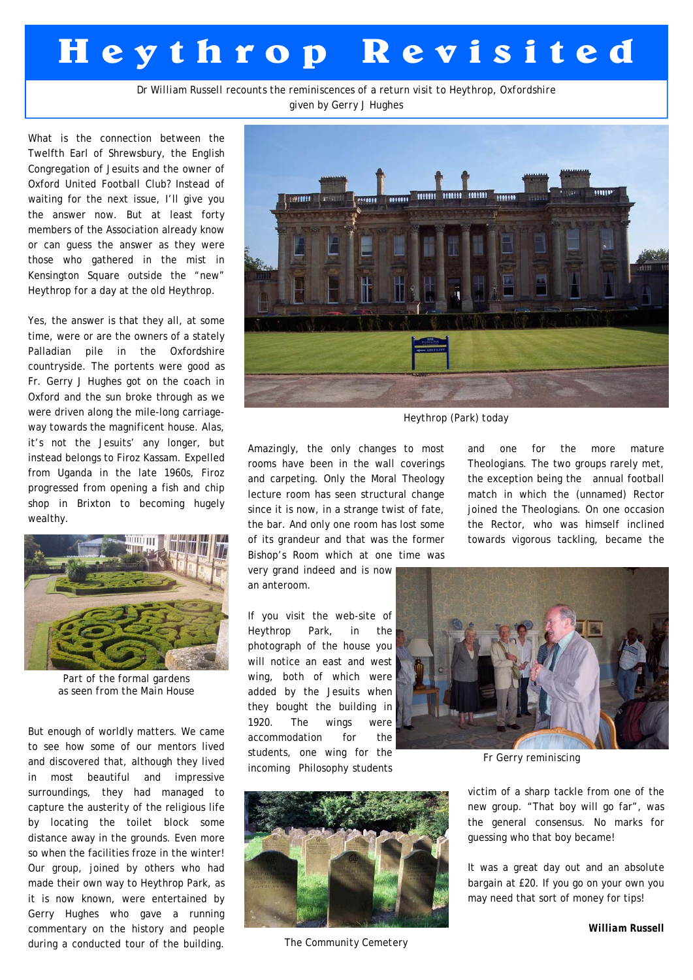## **H e y t h r o p R e v i s i t e d**

*Dr William Russell recounts the reminiscences of a return visit to Heythrop, Oxfordshire given by Gerry J Hughes* 

What is the connection between the Twelfth Earl of Shrewsbury, the English Congregation of Jesuits and the owner of Oxford United Football Club? Instead of waiting for the next issue, I'll give you the answer now. But at least forty members of the Association already know or can guess the answer as they were those who gathered in the mist in Kensington Square outside the "new" Heythrop for a day at the old Heythrop.

Yes, the answer is that they all, at some time, were or are the owners of a stately Palladian pile in the Oxfordshire countryside. The portents were good as Fr. Gerry J Hughes got on the coach in Oxford and the sun broke through as we were driven along the mile-long carriageway towards the magnificent house. Alas, it's not the Jesuits' any longer, but instead belongs to Firoz Kassam. Expelled from Uganda in the late 1960s, Firoz progressed from opening a fish and chip shop in Brixton to becoming hugely wealthy.



*Part of the formal gardens as seen from the Main House* 

But enough of worldly matters. We came to see how some of our mentors lived and discovered that, although they lived in most beautiful and impressive surroundings, they had managed to capture the austerity of the religious life by locating the toilet block some distance away in the grounds. Even more so when the facilities froze in the winter! Our group, joined by others who had made their own way to Heythrop Park, as it is now known, were entertained by Gerry Hughes who gave a running commentary on the history and people during a conducted tour of the building.



*Heythrop (Park) today* 

Amazingly, the only changes to most rooms have been in the wall coverings and carpeting. Only the Moral Theology lecture room has seen structural change since it is now, in a strange twist of fate, the bar. And only one room has lost some of its grandeur and that was the former Bishop's Room which at one time was

very grand indeed and is now an anteroom.

If you visit the web-site of Heythrop Park, in the photograph of the house you will notice an east and west wing, both of which were added by the Jesuits when they bought the building in 1920. The wings were accommodation for the students, one wing for the incoming Philosophy students



*The Community Cemetery* 

and one for the more mature Theologians. The two groups rarely met, the exception being the annual football match in which the (unnamed) Rector joined the Theologians. On one occasion the Rector, who was himself inclined towards vigorous tackling, became the



*Fr Gerry reminiscing* 

victim of a sharp tackle from one of the new group. "That boy will go far", was the general consensus. No marks for guessing who that boy became!

It was a great day out and an absolute bargain at £20. If you go on your own you may need that sort of money for tips!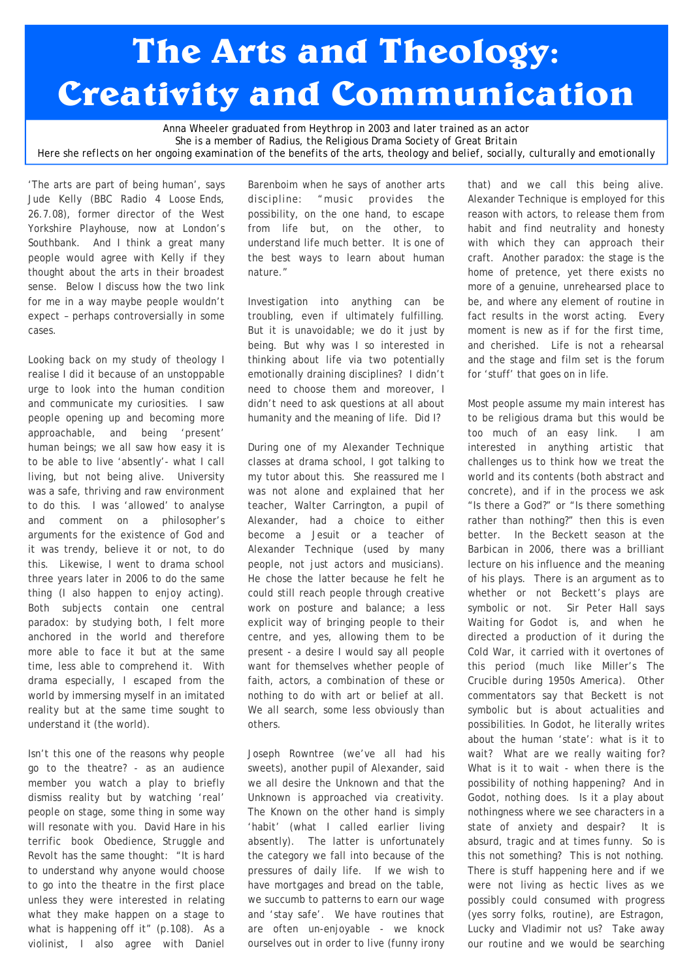## **The Arts and Theology: Creativity and Communication**

*Anna Wheeler graduated from Heythrop in 2003 and later trained as an actor She is a member of Radius, the Religious Drama Society of Great Britain Here she reflects on her ongoing examination of the benefits of the arts, theology and belief, socially, culturally and emotionally* 

'The arts are part of being human', says Jude Kelly (BBC Radio 4 *Loose Ends*, 26.7.08), former director of the West Yorkshire Playhouse, now at London's Southbank. And I think a great many people would agree with Kelly if they thought about the arts in their broadest sense. Below I discuss how the two link for me in a way maybe people wouldn't expect – perhaps controversially in some cases.

Looking back on my study of theology I realise I did it because of an unstoppable urge to look into the human condition and communicate my curiosities. I saw people opening up and becoming more approachable, and being 'present' human beings; we all saw how easy it is to be able to live 'absently'- what I call living, but not being alive. University was a safe, thriving and raw environment to do this. I was 'allowed' to analyse and comment on a philosopher's arguments for the existence of God and it was trendy, believe it or not, to do this. Likewise, I went to drama school three years later in 2006 to do the same thing (I also happen to enjoy acting). Both subjects contain one central paradox: by studying both, I felt more anchored in the world and therefore more able to face it but at the same time, less able to comprehend it. With drama especially, I escaped from the world by immersing myself in an imitated reality but at the same time sought to understand it (the world).

Isn't this one of the reasons why people go to the theatre? - as an audience member you watch a play to briefly dismiss reality but by watching 'real' people on stage, some thing in some way will resonate with you. David Hare in his terrific book *Obedience, Struggle and Revolt* has the same thought: "It is hard to understand why anyone would choose to go into the theatre in the first place unless they were interested in relating what they make happen on a stage to what is happening off it" (p.108). As a violinist, I also agree with Daniel Barenboim when he says of another arts discipline: "music provides the possibility, on the one hand, to escape from life but, on the other, to understand life much better. It is one of the best ways to learn about human nature."

Investigation into anything can be troubling, even if ultimately fulfilling. But it is unavoidable; we do it just by being. But why was I so interested in thinking about life via two potentially emotionally draining disciplines? I didn't need to choose them and moreover, I didn't need to ask questions at all about humanity and the meaning of life. Did I?

During one of my Alexander Technique classes at drama school, I got talking to my tutor about this. She reassured me I was not alone and explained that her teacher, Walter Carrington, a pupil of Alexander, had a choice to either become a Jesuit or a teacher of Alexander Technique (used by many people, not just actors and musicians). He chose the latter because he felt he could still reach people through creative work on posture and balance; a less explicit way of bringing people to their centre, and yes, allowing them to be present - a desire I would say all people want for themselves whether people of faith, actors, a combination of these or nothing to do with art or belief at all. We all search, some less obviously than others.

Joseph Rowntree (we've all had his sweets), another pupil of Alexander, said we all desire the Unknown and that the Unknown is approached via creativity. The Known on the other hand is simply 'habit' (what I called earlier living absently). The latter is unfortunately the category we fall into because of the pressures of daily life. If we wish to have mortgages and bread on the table, we succumb to patterns to earn our wage and 'stay safe'. We have routines that are often un-enjoyable - we knock ourselves out in order to live (funny irony

that) and we call this being alive. Alexander Technique is employed for this reason with actors, to release them from habit and find neutrality and honesty with which they can approach their craft. Another paradox: the stage is the home of pretence, yet there exists no more of a genuine, unrehearsed place to be, and where any element of routine in fact results in the worst acting. Every moment is new as if for the first time, and cherished. Life is not a rehearsal and the stage and film set is the forum for 'stuff' that goes on in life.

Most people assume my main interest has to be religious drama but this would be too much of an easy link. I am interested in anything artistic that challenges us to think how we treat the world and its contents (both abstract and concrete), and if in the process we ask "Is there a God?" or "Is there something rather than nothing?" then this is even better. In the Beckett season at the Barbican in 2006, there was a brilliant lecture on his influence and the meaning of his plays. There is an argument as to whether or not Beckett's plays are symbolic or not. Sir Peter Hall says *Waiting for Godot* is, and when he directed a production of it during the Cold War, it carried with it overtones of this period (much like Miller's *The Crucible* during 1950s America). Other commentators say that Beckett is not symbolic but is about actualities and possibilities. In *Godot*, he literally writes about the human 'state': what is it to wait? What are we really waiting for? What is it to wait - when there is the possibility of nothing happening? And in *Godot*, nothing does. Is it a play about nothingness where we see characters in a state of anxiety and despair? It is absurd, tragic and at times funny. So is this not something? This is not nothing. There is stuff happening here and if we were not living as hectic lives as we possibly could consumed with progress (yes sorry folks, routine), are Estragon, Lucky and Vladimir not us? Take away our routine and we would be searching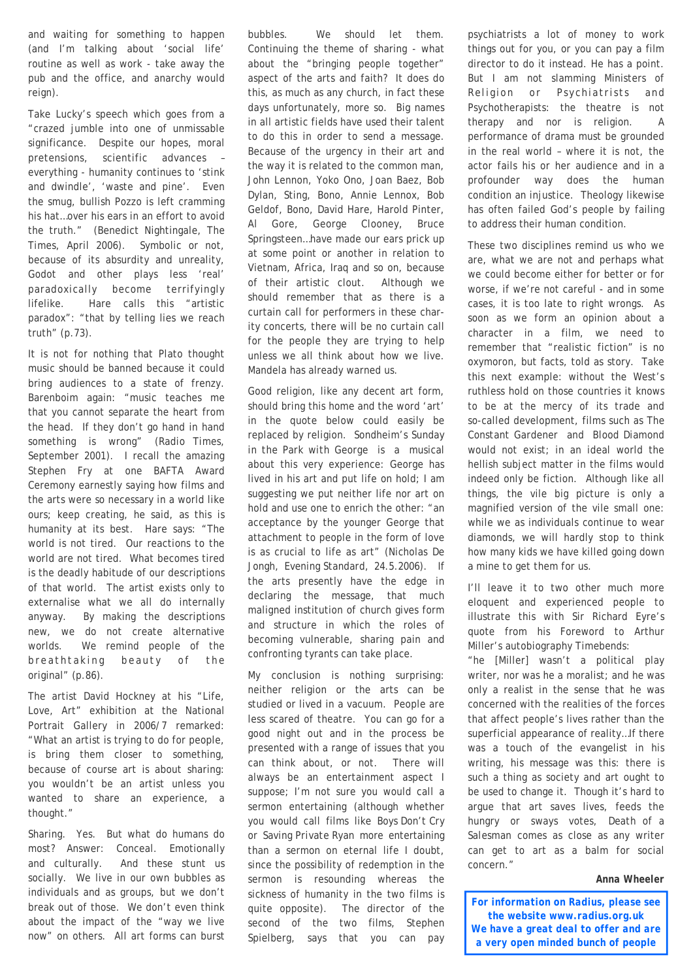and waiting for something to happen (and I'm talking about 'social life' routine as well as work - take away the pub and the office, and anarchy would reign).

Take Lucky's speech which goes from a "crazed jumble into one of unmissable significance. Despite our hopes, moral pretensions, scientific advances – everything - humanity continues to 'stink and dwindle', 'waste and pine'. Even the smug, bullish Pozzo is left cramming his hat…over his ears in an effort to avoid the truth." (Benedict Nightingale, *The Times*, April 2006). Symbolic or not, because of its absurdity and unreality, *Godot* and other plays less 'real' paradoxically become terrifyingly lifelike. Hare calls this "artistic paradox": "that by telling lies we reach truth" (p.73).

It is not for nothing that Plato thought music should be banned because it could bring audiences to a state of frenzy. Barenboim again: "music teaches me that you cannot separate the heart from the head. If they don't go hand in hand something is wrong" (*Radio Times*, September 2001). I recall the amazing Stephen Fry at one BAFTA Award Ceremony earnestly saying how films and the arts were so necessary in a world like ours; keep creating, he said, as this is humanity at its best. Hare says: "The world is not tired. Our reactions to the world are not tired. What becomes tired is the deadly habitude of our descriptions of that world. The artist exists only to externalise what we all do internally anyway. By making the descriptions new, we do not create alternative worlds. We remind people of the breathtaking beauty of the original" (p.86).

The artist David Hockney at his "Life, Love, Art" exhibition at the National Portrait Gallery in 2006/7 remarked: "What an artist is trying to do for people, is bring them closer to something, because of course art is about sharing: you wouldn't be an artist unless you wanted to share an experience, a thought."

Sharing. Yes. But what do humans do most? Answer: Conceal. Emotionally and culturally. And these stunt us socially. We live in our own bubbles as individuals and as groups, but we don't break out of those. We don't even think about the impact of the "way we live now" on others. All art forms can burst

bubbles. We should let them. Continuing the theme of sharing - what about the "bringing people together" aspect of the arts and faith? It does do this, as much as any church, in fact these days unfortunately, more so. Big names in all artistic fields have used their talent to do this in order to send a message. Because of the urgency in their art and the way it is related to the common man, John Lennon, Yoko Ono, Joan Baez, Bob Dylan, Sting, Bono, Annie Lennox, Bob Geldof, Bono, David Hare, Harold Pinter, Al Gore, George Clooney, Bruce Springsteen…have made our ears prick up at some point or another in relation to Vietnam, Africa, Iraq and so on, because of their artistic clout. Although we should remember that as there is a curtain call for performers in these charity concerts, there will be no curtain call for the people they are trying to help unless we all think about how we live. Mandela has already warned us.

Good religion, like any decent art form, should bring this home and the word 'art' in the quote below could easily be replaced by religion. Sondheim's *Sunday in the Park with George* is a musical about this very experience: George has lived in his art and put life on hold; I am suggesting we put neither life nor art on hold and use one to enrich the other: "an acceptance by the younger George that attachment to people in the form of love is as crucial to life as art" (Nicholas De Jongh, *Evening Standard*, 24.5.2006). If the arts presently have the edge in declaring the message, that much maligned institution of church gives form and structure in which the roles of becoming vulnerable, sharing pain and confronting tyrants can take place.

My conclusion is nothing surprising: neither religion or the arts can be studied or lived in a vacuum. People are less scared of theatre. You can go for a good night out and in the process be presented with a range of issues that you can think about, or not. There will always be an entertainment aspect I suppose; I'm not sure you would call a sermon entertaining (although whether you would call films like *Boys Don't Cry* or *Saving Private Ryan* more entertaining than a sermon on eternal life I doubt, since the possibility of redemption in the sermon is resounding whereas the sickness of humanity in the two films is quite opposite). The director of the second of the two films, Stephen Spielberg, says that you can pay

psychiatrists a lot of money to work things out for you, or you can pay a film director to do it instead. He has a point. But I am not slamming Ministers of Religion or Psychiatrists and Psychotherapists: the theatre is not therapy and nor is religion. A performance of drama must be grounded in the real world – where it is not, the actor fails his or her audience and in a profounder way does the human condition an injustice. Theology likewise has often failed God's people by failing to address their human condition.

These two disciplines remind us who we are, what we are not and perhaps what we could become either for better or for worse, if we're not careful - and in some cases, it is too late to right wrongs. As soon as we form an opinion about a character in a film, we need to remember that "realistic fiction" is no oxymoron, but facts, told as story. Take this next example: without the West's ruthless hold on those countries it knows to be at the mercy of its trade and so-called development, films such as *The Constant Gardener* and *Blood Diamond* would not exist; in an ideal world the hellish subject matter in the films would indeed only be fiction. Although like all things, the vile big picture is only a magnified version of the vile small one: while we as individuals continue to wear diamonds, we will hardly stop to think how many kids we have killed going down a mine to get them for us.

I'll leave it to two other much more eloquent and experienced people to illustrate this with Sir Richard Eyre's quote from his Foreword to Arthur Miller's autobiography *Timebends*:

"he [Miller] wasn't a political play writer, nor was he a moralist; and he was only a realist in the sense that he was concerned with the realities of the forces that affect people's lives rather than the superficial appearance of reality…If there was a touch of the evangelist in his writing, his message was this: there is such a thing as society and art ought to be used to change it. Though it's hard to argue that art saves lives, feeds the hungry or sways votes, *Death of a Salesman* comes as close as any writer can get to art as a balm for social concern."

#### *Anna Wheeler*

*For information on Radius, please see the website www.radius.org.uk We have a great deal to offer and are a very open minded bunch of people*